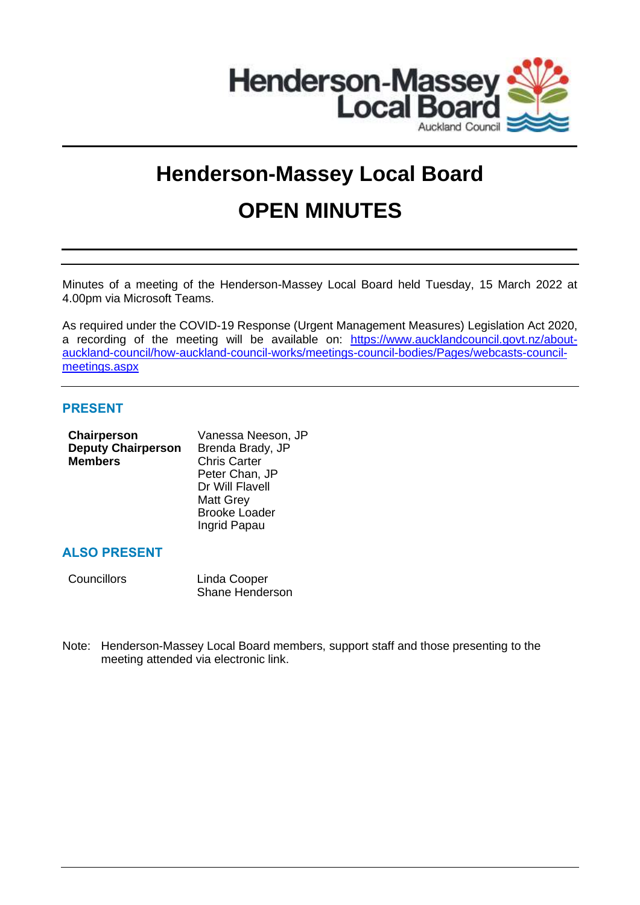

# **Henderson-Massey Local Board OPEN MINUTES**

Minutes of a meeting of the Henderson-Massey Local Board held Tuesday, 15 March 2022 at 4.00pm via Microsoft Teams.

As required under the COVID-19 Response (Urgent Management Measures) Legislation Act 2020, a recording of the meeting will be available on: [https://www.aucklandcouncil.govt.nz/about](https://www.aucklandcouncil.govt.nz/about-auckland-council/how-auckland-council-works/meetings-council-bodies/Pages/webcasts-council-meetings.aspx)[auckland-council/how-auckland-council-works/meetings-council-bodies/Pages/webcasts-council](https://www.aucklandcouncil.govt.nz/about-auckland-council/how-auckland-council-works/meetings-council-bodies/Pages/webcasts-council-meetings.aspx)[meetings.aspx](https://www.aucklandcouncil.govt.nz/about-auckland-council/how-auckland-council-works/meetings-council-bodies/Pages/webcasts-council-meetings.aspx)

# **PRESENT**

| Chairperson               | Vanessa Neeson, JP   |  |
|---------------------------|----------------------|--|
| <b>Deputy Chairperson</b> | Brenda Brady, JP     |  |
| <b>Members</b>            | <b>Chris Carter</b>  |  |
|                           | Peter Chan, JP       |  |
|                           | Dr Will Flavell      |  |
|                           | <b>Matt Grey</b>     |  |
|                           | <b>Brooke Loader</b> |  |
|                           | Ingrid Papau         |  |

# **ALSO PRESENT**

| Councillors | Linda Cooper           |  |
|-------------|------------------------|--|
|             | <b>Shane Henderson</b> |  |

Note: Henderson-Massey Local Board members, support staff and those presenting to the meeting attended via electronic link.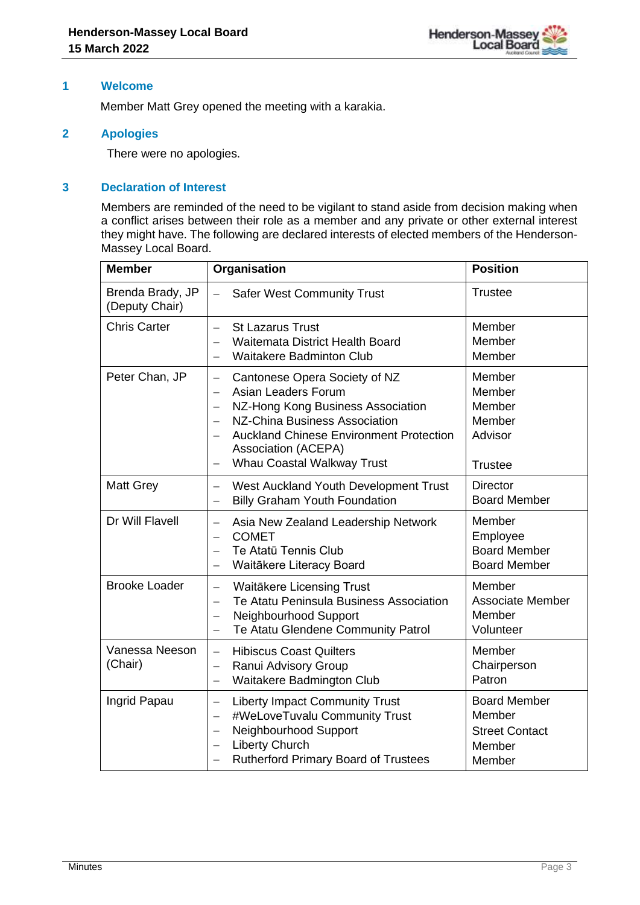## **1 Welcome**

Member Matt Grey opened the meeting with a karakia.

# **2 Apologies**

There were no apologies.

# **3 Declaration of Interest**

Members are reminded of the need to be vigilant to stand aside from decision making when a conflict arises between their role as a member and any private or other external interest they might have. The following are declared interests of elected members of the Henderson-Massey Local Board.

| <b>Member</b>                      | Organisation                                                                                                                                                                                                                                                                                                                            | <b>Position</b>                                                            |
|------------------------------------|-----------------------------------------------------------------------------------------------------------------------------------------------------------------------------------------------------------------------------------------------------------------------------------------------------------------------------------------|----------------------------------------------------------------------------|
| Brenda Brady, JP<br>(Deputy Chair) | <b>Safer West Community Trust</b>                                                                                                                                                                                                                                                                                                       | <b>Trustee</b>                                                             |
| <b>Chris Carter</b>                | <b>St Lazarus Trust</b><br>$\overline{\phantom{0}}$<br>Waitemata District Health Board<br>$\overline{\phantom{0}}$<br><b>Waitakere Badminton Club</b>                                                                                                                                                                                   | Member<br>Member<br>Member                                                 |
| Peter Chan, JP                     | Cantonese Opera Society of NZ<br>$\qquad \qquad -$<br>Asian Leaders Forum<br>$\overline{\phantom{0}}$<br>NZ-Hong Kong Business Association<br>$\overline{\phantom{0}}$<br>NZ-China Business Association<br>$\overline{a}$<br><b>Auckland Chinese Environment Protection</b><br><b>Association (ACEPA)</b><br>Whau Coastal Walkway Trust | Member<br>Member<br>Member<br>Member<br>Advisor<br><b>Trustee</b>          |
| <b>Matt Grey</b>                   | West Auckland Youth Development Trust<br>$\overline{\phantom{0}}$<br><b>Billy Graham Youth Foundation</b><br>$\overline{\phantom{0}}$                                                                                                                                                                                                   | <b>Director</b><br><b>Board Member</b>                                     |
| Dr Will Flavell                    | Asia New Zealand Leadership Network<br>$\overline{\phantom{0}}$<br><b>COMET</b><br>$\equiv$<br>Te Atatū Tennis Club<br>Waitākere Literacy Board                                                                                                                                                                                         | Member<br>Employee<br><b>Board Member</b><br><b>Board Member</b>           |
| <b>Brooke Loader</b>               | Waitākere Licensing Trust<br>$\qquad \qquad -$<br>Te Atatu Peninsula Business Association<br>$\overline{\phantom{0}}$<br>Neighbourhood Support<br>$\qquad \qquad -$<br>Te Atatu Glendene Community Patrol<br>$\overline{\phantom{0}}$                                                                                                   | Member<br><b>Associate Member</b><br>Member<br>Volunteer                   |
| Vanessa Neeson<br>(Chair)          | <b>Hibiscus Coast Quilters</b><br>$\overline{\phantom{0}}$<br>Ranui Advisory Group<br>Waitakere Badmington Club                                                                                                                                                                                                                         | Member<br>Chairperson<br>Patron                                            |
| Ingrid Papau                       | <b>Liberty Impact Community Trust</b><br>$\overline{\phantom{0}}$<br>#WeLoveTuvalu Community Trust<br>$\overline{\phantom{0}}$<br>Neighbourhood Support<br>$\overline{\phantom{0}}$<br><b>Liberty Church</b><br><b>Rutherford Primary Board of Trustees</b><br>$\qquad \qquad -$                                                        | <b>Board Member</b><br>Member<br><b>Street Contact</b><br>Member<br>Member |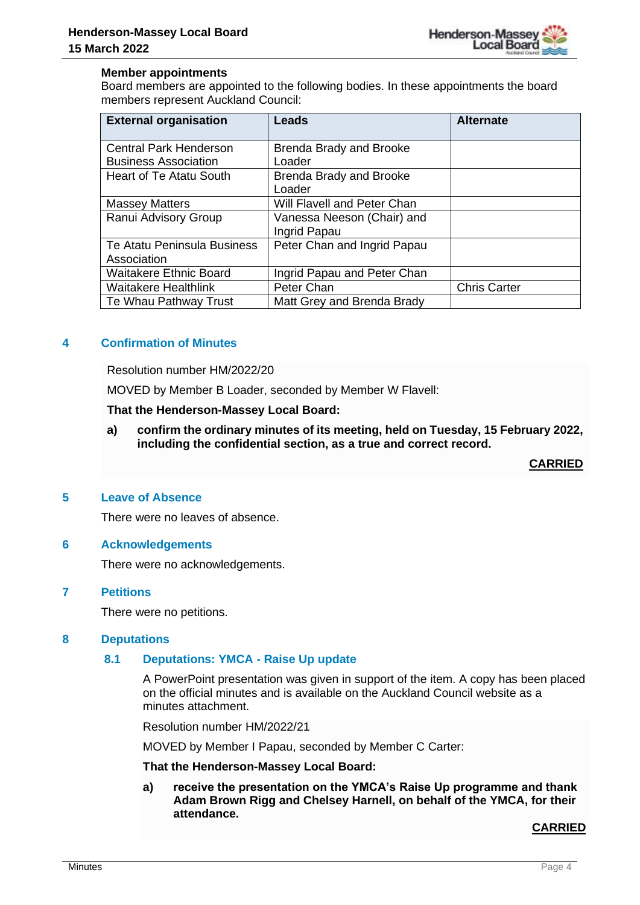

## **Member appointments**

Board members are appointed to the following bodies. In these appointments the board members represent Auckland Council:

| <b>External organisation</b>   | Leads                          | <b>Alternate</b>    |
|--------------------------------|--------------------------------|---------------------|
| <b>Central Park Henderson</b>  | Brenda Brady and Brooke        |                     |
| <b>Business Association</b>    | Loader                         |                     |
| <b>Heart of Te Atatu South</b> | <b>Brenda Brady and Brooke</b> |                     |
|                                | Loader                         |                     |
| <b>Massey Matters</b>          | Will Flavell and Peter Chan    |                     |
| Ranui Advisory Group           | Vanessa Neeson (Chair) and     |                     |
|                                | Ingrid Papau                   |                     |
| Te Atatu Peninsula Business    | Peter Chan and Ingrid Papau    |                     |
| Association                    |                                |                     |
| <b>Waitakere Ethnic Board</b>  | Ingrid Papau and Peter Chan    |                     |
| <b>Waitakere Healthlink</b>    | Peter Chan                     | <b>Chris Carter</b> |
| Te Whau Pathway Trust          | Matt Grey and Brenda Brady     |                     |

# **4 Confirmation of Minutes**

Resolution number HM/2022/20

MOVED by Member B Loader, seconded by Member W Flavell:

#### **That the Henderson-Massey Local Board:**

**a) confirm the ordinary minutes of its meeting, held on Tuesday, 15 February 2022, including the confidential section, as a true and correct record.**

**CARRIED**

#### **5 Leave of Absence**

There were no leaves of absence.

#### **6 Acknowledgements**

There were no acknowledgements.

#### **7 Petitions**

There were no petitions.

#### **8 Deputations**

#### **8.1 Deputations: YMCA - Raise Up update**

A PowerPoint presentation was given in support of the item. A copy has been placed on the official minutes and is available on the Auckland Council website as a minutes attachment.

Resolution number HM/2022/21

MOVED by Member I Papau, seconded by Member C Carter:

#### **That the Henderson-Massey Local Board:**

**a) receive the presentation on the YMCA's Raise Up programme and thank Adam Brown Rigg and Chelsey Harnell, on behalf of the YMCA, for their attendance.**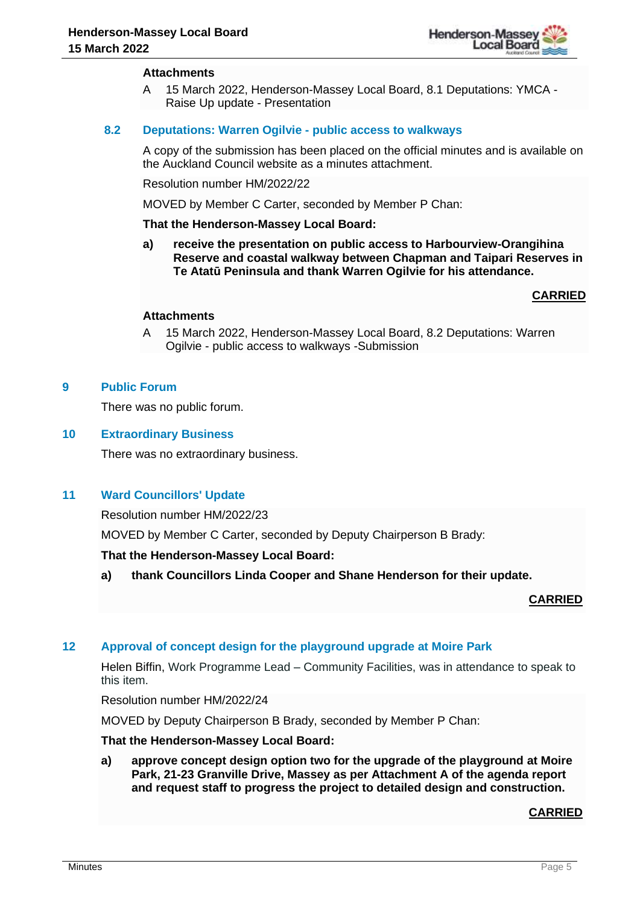

## **Attachments**

A 15 March 2022, Henderson-Massey Local Board, 8.1 Deputations: YMCA - Raise Up update - Presentation

## **8.2 Deputations: Warren Ogilvie - public access to walkways**

A copy of the submission has been placed on the official minutes and is available on the Auckland Council website as a minutes attachment.

Resolution number HM/2022/22

MOVED by Member C Carter, seconded by Member P Chan:

#### **That the Henderson-Massey Local Board:**

**a) receive the presentation on public access to Harbourview-Orangihina Reserve and coastal walkway between Chapman and Taipari Reserves in Te Atatū Peninsula and thank Warren Ogilvie for his attendance.**

#### **CARRIED**

#### **Attachments**

A 15 March 2022, Henderson-Massey Local Board, 8.2 Deputations: Warren Ogilvie - public access to walkways -Submission

#### **9 Public Forum**

There was no public forum.

#### **10 Extraordinary Business**

There was no extraordinary business.

#### **11 Ward Councillors' Update**

Resolution number HM/2022/23

MOVED by Member C Carter, seconded by Deputy Chairperson B Brady:

#### **That the Henderson-Massey Local Board:**

**a) thank Councillors Linda Cooper and Shane Henderson for their update.**

#### **CARRIED**

# **12 Approval of concept design for the playground upgrade at Moire Park**

Helen Biffin, Work Programme Lead – Community Facilities, was in attendance to speak to this item.

Resolution number HM/2022/24

MOVED by Deputy Chairperson B Brady, seconded by Member P Chan:

#### **That the Henderson-Massey Local Board:**

**a) approve concept design option two for the upgrade of the playground at Moire Park, 21-23 Granville Drive, Massey as per Attachment A of the agenda report and request staff to progress the project to detailed design and construction.**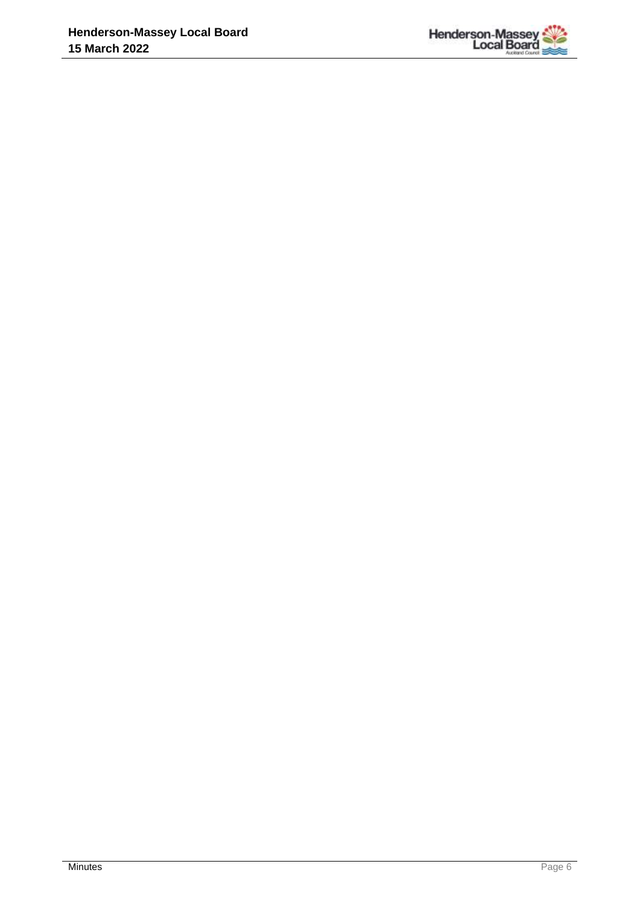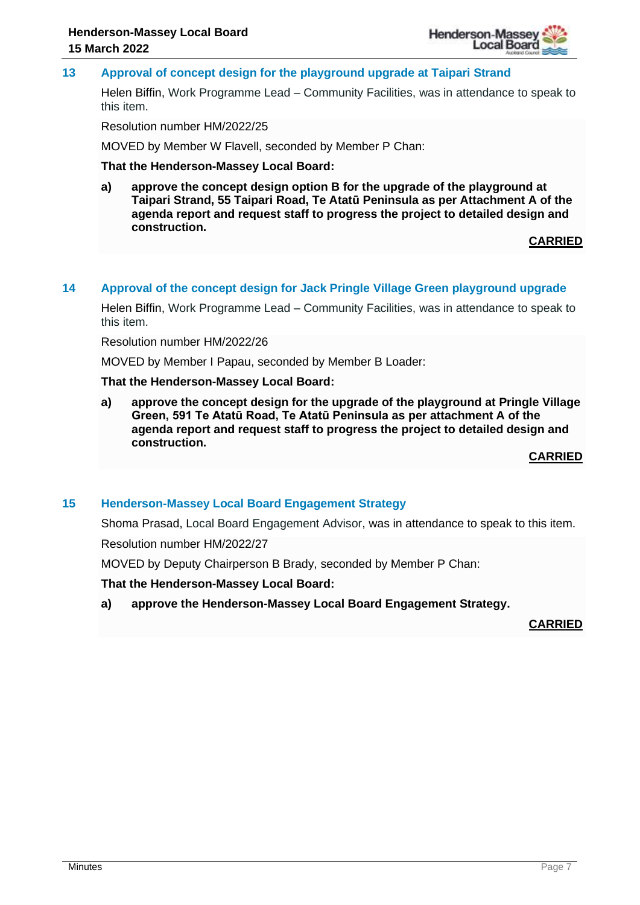

**13 Approval of concept design for the playground upgrade at Taipari Strand**

Helen Biffin, Work Programme Lead – Community Facilities, was in attendance to speak to this item.

Resolution number HM/2022/25

MOVED by Member W Flavell, seconded by Member P Chan:

**That the Henderson-Massey Local Board:**

**a) approve the concept design option B for the upgrade of the playground at Taipari Strand, 55 Taipari Road, Te Atatū Peninsula as per Attachment A of the agenda report and request staff to progress the project to detailed design and construction.**

**CARRIED**

## **14 Approval of the concept design for Jack Pringle Village Green playground upgrade**

Helen Biffin, Work Programme Lead – Community Facilities, was in attendance to speak to this item.

Resolution number HM/2022/26

MOVED by Member I Papau, seconded by Member B Loader:

#### **That the Henderson-Massey Local Board:**

**a) approve the concept design for the upgrade of the playground at Pringle Village Green, 591 Te Atatū Road, Te Atatū Peninsula as per attachment A of the agenda report and request staff to progress the project to detailed design and construction.**

**CARRIED**

# **15 Henderson-Massey Local Board Engagement Strategy**

Shoma Prasad, Local Board Engagement Advisor, was in attendance to speak to this item. Resolution number HM/2022/27

MOVED by Deputy Chairperson B Brady, seconded by Member P Chan:

#### **That the Henderson-Massey Local Board:**

**a) approve the Henderson-Massey Local Board Engagement Strategy.**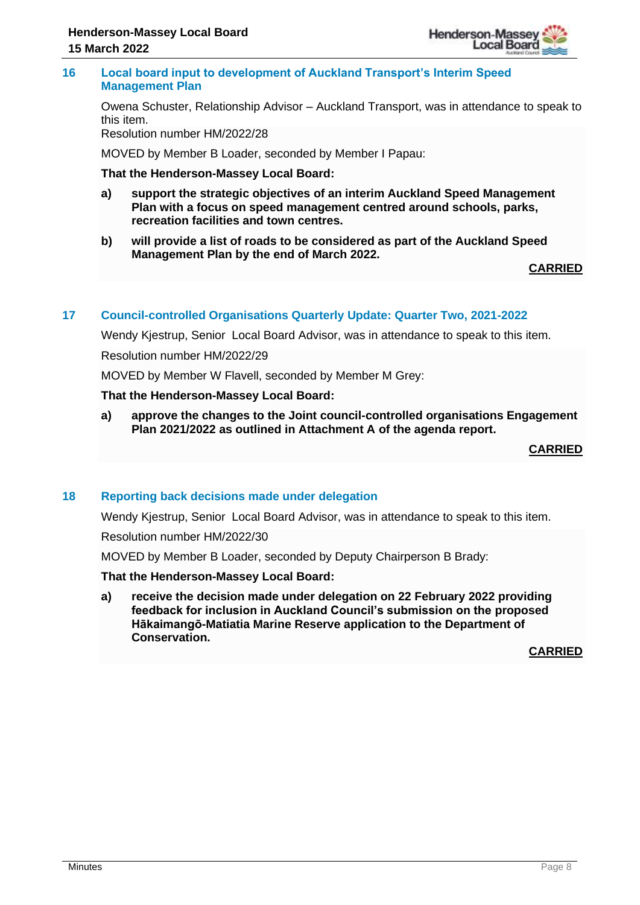

# **16 Local board input to development of Auckland Transport's Interim Speed Management Plan**

Owena Schuster, Relationship Advisor – Auckland Transport, was in attendance to speak to this item.

Resolution number HM/2022/28

MOVED by Member B Loader, seconded by Member I Papau:

## **That the Henderson-Massey Local Board:**

- **a) support the strategic objectives of an interim Auckland Speed Management Plan with a focus on speed management centred around schools, parks, recreation facilities and town centres.**
- **b) will provide a list of roads to be considered as part of the Auckland Speed Management Plan by the end of March 2022.**

**CARRIED**

## **17 Council-controlled Organisations Quarterly Update: Quarter Two, 2021-2022**

Wendy Kiestrup, Senior Local Board Advisor, was in attendance to speak to this item.

Resolution number HM/2022/29

MOVED by Member W Flavell, seconded by Member M Grey:

#### **That the Henderson-Massey Local Board:**

**a) approve the changes to the Joint council-controlled organisations Engagement Plan 2021/2022 as outlined in Attachment A of the agenda report.**

**CARRIED**

# **18 Reporting back decisions made under delegation**

Wendy Kjestrup, Senior Local Board Advisor, was in attendance to speak to this item.

Resolution number HM/2022/30

MOVED by Member B Loader, seconded by Deputy Chairperson B Brady:

#### **That the Henderson-Massey Local Board:**

**a) receive the decision made under delegation on 22 February 2022 providing feedback for inclusion in Auckland Council's submission on the proposed Hākaimangō-Matiatia Marine Reserve application to the Department of Conservation.**